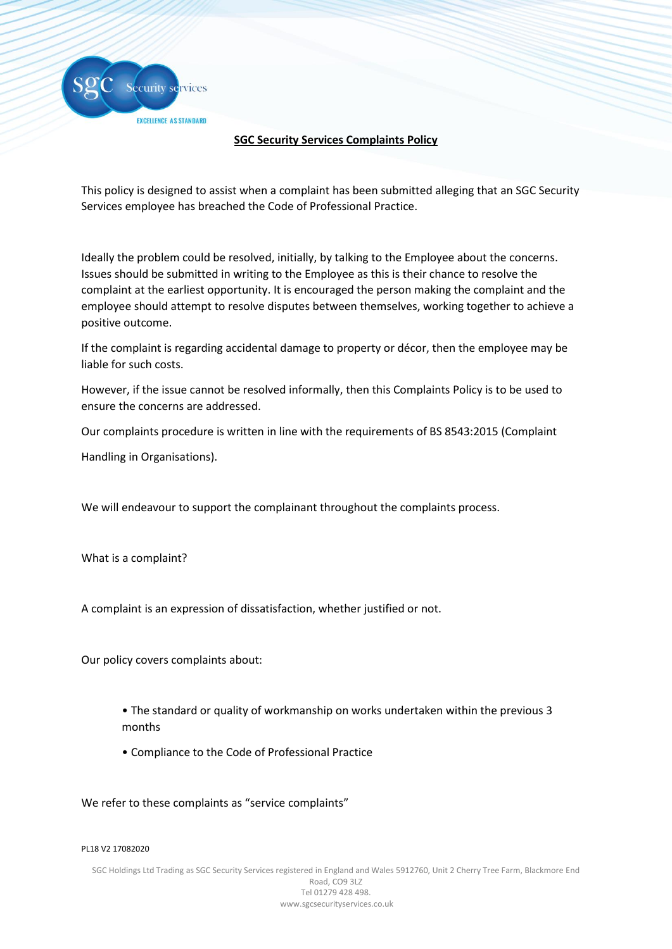Security se<mark>rvices</mark> EXCELLENCE AS STANDARD

# **SGC Security Services Complaints Policy**

This policy is designed to assist when a complaint has been submitted alleging that an SGC Security Services employee has breached the Code of Professional Practice.

Ideally the problem could be resolved, initially, by talking to the Employee about the concerns. Issues should be submitted in writing to the Employee as this is their chance to resolve the complaint at the earliest opportunity. It is encouraged the person making the complaint and the employee should attempt to resolve disputes between themselves, working together to achieve a positive outcome.

If the complaint is regarding accidental damage to property or décor, then the employee may be liable for such costs.

However, if the issue cannot be resolved informally, then this Complaints Policy is to be used to ensure the concerns are addressed.

Our complaints procedure is written in line with the requirements of BS 8543:2015 (Complaint

Handling in Organisations).

We will endeavour to support the complainant throughout the complaints process.

What is a complaint?

A complaint is an expression of dissatisfaction, whether justified or not.

Our policy covers complaints about:

- The standard or quality of workmanship on works undertaken within the previous 3 months
- Compliance to the Code of Professional Practice

We refer to these complaints as "service complaints"

### PL18 V2 17082020

SGC Holdings Ltd Trading as SGC Security Services registered in England and Wales 5912760, Unit 2 Cherry Tree Farm, Blackmore End Road, CO9 3LZ Tel 01279 428 498. www.sgcsecurityservices.co.uk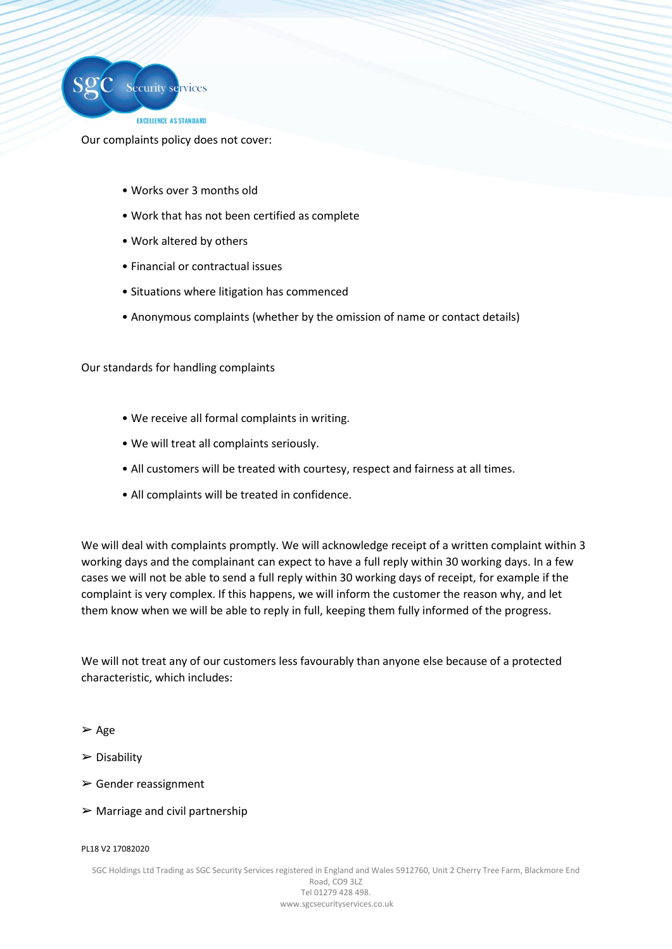

Our complaints policy does not cover:

- Works over 3 months old
- Work that has not been certified as complete
- Work altered by others
- Financial or contractual issues
- Situations where litigation has commenced
- Anonymous complaints (whether by the omission of name or contact details)

Our standards for handling complaints

- We receive all formal complaints in writing.
- We will treat all complaints seriously.
- All customers will be treated with courtesy, respect and fairness at all times.
- All complaints will be treated in confidence.

We will deal with complaints promptly. We will acknowledge receipt of a written complaint within 3 working days and the complainant can expect to have a full reply within 30 working days. In a few cases we will not be able to send a full reply within 30 working days of receipt, for example if the complaint is very complex. If this happens, we will inform the customer the reason why, and let them know when we will be able to reply in full, keeping them fully informed of the progress.

We will not treat any of our customers less favourably than anyone else because of a protected characteristic, which includes:

➢ Age

- ➢ Disability
- $\triangleright$  Gender reassignment
- $\triangleright$  Marriage and civil partnership

### PL18 V2 17082020

SGC Holdings Ltd Trading as SGC Security Services registered in England and Wales 5912760, Unit 2 Cherry Tree Farm, Blackmore End Road, CO9 3LZ Tel 01279 428 498. www.sgcsecurityservices.co.uk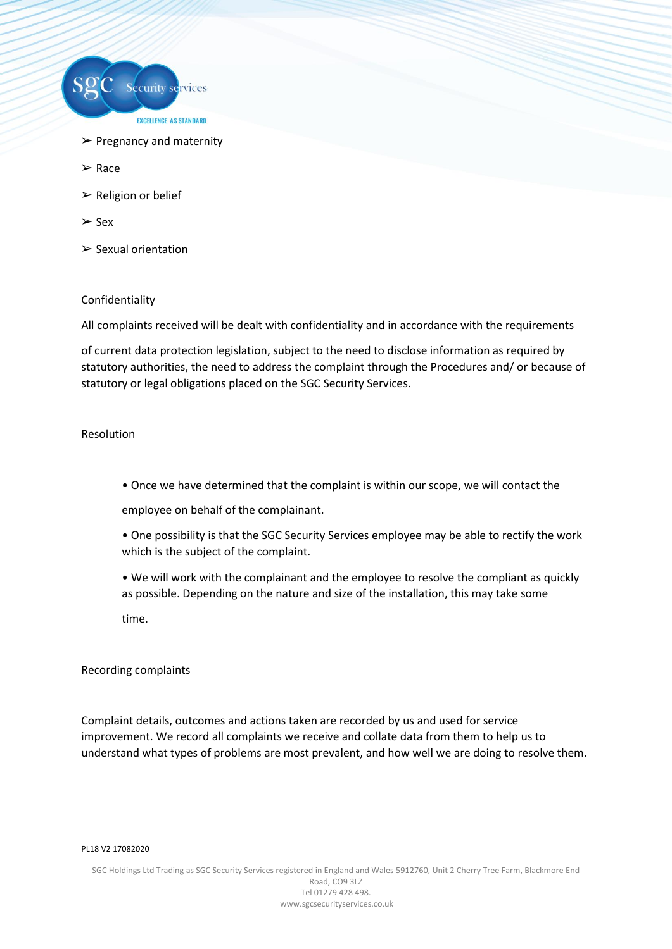

- $\triangleright$  Pregnancy and maternity
- ➢ Race
- $\triangleright$  Religion or belief
- ➢ Sex
- $\triangleright$  Sexual orientation

## Confidentiality

All complaints received will be dealt with confidentiality and in accordance with the requirements

of current data protection legislation, subject to the need to disclose information as required by statutory authorities, the need to address the complaint through the Procedures and/ or because of statutory or legal obligations placed on the SGC Security Services.

## Resolution

• Once we have determined that the complaint is within our scope, we will contact the

employee on behalf of the complainant.

- One possibility is that the SGC Security Services employee may be able to rectify the work which is the subject of the complaint.
- We will work with the complainant and the employee to resolve the compliant as quickly as possible. Depending on the nature and size of the installation, this may take some time.

### Recording complaints

Complaint details, outcomes and actions taken are recorded by us and used for service improvement. We record all complaints we receive and collate data from them to help us to understand what types of problems are most prevalent, and how well we are doing to resolve them.

### PL18 V2 17082020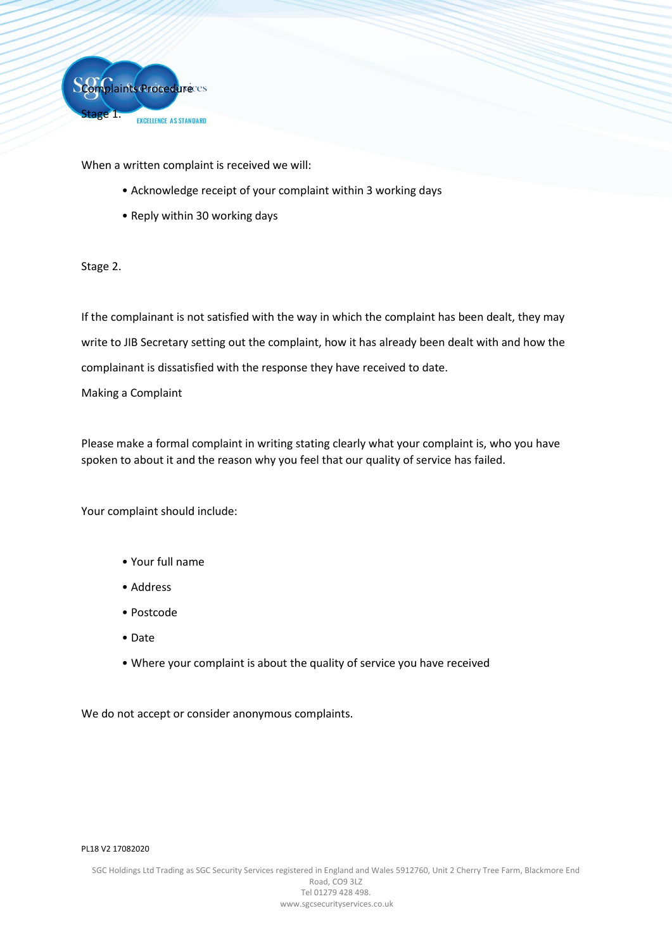

When a written complaint is received we will:

- Acknowledge receipt of your complaint within 3 working days
- Reply within 30 working days

# Stage 2.

If the complainant is not satisfied with the way in which the complaint has been dealt, they may write to JIB Secretary setting out the complaint, how it has already been dealt with and how the complainant is dissatisfied with the response they have received to date.

Making a Complaint

Please make a formal complaint in writing stating clearly what your complaint is, who you have spoken to about it and the reason why you feel that our quality of service has failed.

Your complaint should include:

- Your full name
- Address
- Postcode
- Date
- Where your complaint is about the quality of service you have received

We do not accept or consider anonymous complaints.

### PL18 V2 17082020